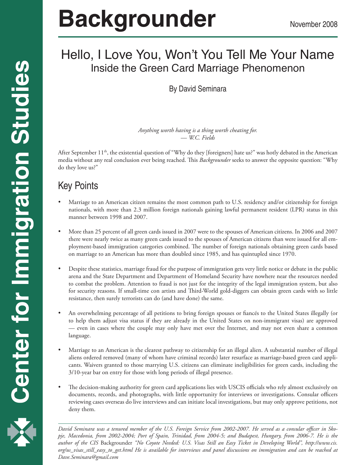# **Backgrounder** November 2008

# Hello, I Love You, Won't You Tell Me Your Name Inside the Green Card Marriage Phenomenon

By David Seminara

*Anything worth having is a thing worth cheating for.* — *W.C. Fields*

After September  $11<sup>th</sup>$ , the existential question of "Why do they [foreigners] hate us?" was hotly debated in the American media without any real conclusion ever being reached. This *Backgrounder* seeks to answer the opposite question: "Why do they love us?"

# Key Points

- Marriage to an American citizen remains the most common path to U.S. residency and/or citizenship for foreign nationals, with more than 2.3 million foreign nationals gaining lawful permanent resident (LPR) status in this manner between 1998 and 2007.
- More than 25 percent of all green cards issued in 2007 were to the spouses of American citizens. In 2006 and 2007 there were nearly twice as many green cards issued to the spouses of American citizens than were issued for all employment-based immigration categories combined. The number of foreign nationals obtaining green cards based on marriage to an American has more than doubled since 1985, and has quintupled since 1970.
- Despite these statistics, marriage fraud for the purpose of immigration gets very little notice or debate in the public arena and the State Department and Department of Homeland Security have nowhere near the resources needed to combat the problem. Attention to fraud is not just for the integrity of the legal immigration system, but also for security reasons. If small-time con artists and Third-World gold-diggers can obtain green cards with so little resistance, then surely terrorists can do (and have done) the same.
- An overwhelming percentage of all petitions to bring foreign spouses or fiancés to the United States illegally (or to help them adjust visa status if they are already in the United States on non-immigrant visas) are approved — even in cases where the couple may only have met over the Internet, and may not even share a common language.
- Marriage to an American is the clearest pathway to citizenship for an illegal alien. A substantial number of illegal aliens ordered removed (many of whom have criminal records) later resurface as marriage-based green card applicants. Waivers granted to those marrying U.S. citizens can eliminate ineligibilities for green cards, including the 3/10-year bar on entry for those with long periods of illegal presence.
- The decision-making authority for green card applications lies with USCIS officials who rely almost exclusively on documents, records, and photographs, with little opportunity for interviews or investigations. Consular officers reviewing cases overseas do live interviews and can initiate local investigations, but may only approve petitions, not deny them.

 *author of the CIS* Backgrounder *"No Coyote Needed: U.S. Visas Still an Easy Ticket in Developing World", http://www.cis. David Seminara was a tenured member of the U.S. Foreign Service from 2002-2007. He served as a consular officer in Skopje, Macedonia, from 2002-2004; Port of Spain, Trinidad, from 2004-5; and Budapest, Hungary, from 2006-7. He is the org/us\_visas\_still\_easy\_to\_get.html He is available for interviews and panel discussions on immigration and can be reached at Dave.Seminara@gmail.com*

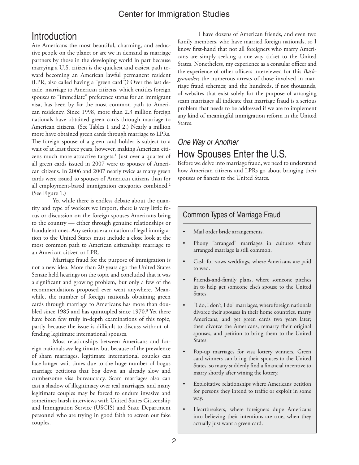# **Introduction**

Are Americans the most beautiful, charming, and seductive people on the planet or are we in demand as marriage partners by those in the developing world in part because marrying a U.S. citizen is the quickest and easiest path toward becoming an American lawful permanent resident (LPR, also called having a "green card")? Over the last decade, marriage to American citizens, which entitles foreign spouses to "immediate" preference status for an immigrant visa, has been by far the most common path to American residency. Since 1998, more than 2.3 million foreign nationals have obtained green cards through marriage to American citizens. (See Tables 1 and 2.) Nearly a million more have obtained green cards through marriage to LPRs. The foreign spouse of a green card holder is subject to a wait of at least three years, however, making American citizens much more attractive targets.<sup>1</sup> Just over a quarter of all green cards issued in 2007 were to spouses of American citizens. In 2006 and 2007 nearly twice as many green cards were issued to spouses of American citizens than for all employment-based immigration categories combined.<sup>2</sup> (See Figure 1.)

Yet while there is endless debate about the quantity and type of workers we import, there is very little focus or discussion on the foreign spouses Americans bring to the country — either through genuine relationships or fraudulent ones. Any serious examination of legal immigration to the United States must include a close look at the most common path to American citizenship: marriage to an American citizen or LPR.

Marriage fraud for the purpose of immigration is not a new idea. More than 20 years ago the United States Senate held hearings on the topic and concluded that it was a significant and growing problem, but only a few of the recommendations proposed ever went anywhere. Meanwhile, the number of foreign nationals obtaining green cards through marriage to Americans has more than doubled since 1985 and has quintupled since 1970.<sup>3</sup> Yet there have been few truly in-depth examinations of this topic, partly because the issue is difficult to discuss without offending legitimate international spouses.

Most relationships between Americans and foreign nationals *are* legitimate, but because of the prevalence of sham marriages, legitimate international couples can face longer wait times due to the huge number of bogus marriage petitions that bog down an already slow and cumbersome visa bureaucracy. Scam marriages also can cast a shadow of illegitimacy over real marriages, and many legitimate couples may be forced to endure invasive and sometimes harsh interviews with United States Citizenship and Immigration Service (USCIS) and State Department personnel who are trying in good faith to screen out fake couples.

I have dozens of American friends, and even two family members, who have married foreign nationals, so I know first-hand that not all foreigners who marry Americans are simply seeking a one-way ticket to the United States. Nonetheless, my experience as a consular officer and the experience of other officers interviewed for this *Backgrounder*; the numerous arrests of those involved in marriage fraud schemes; and the hundreds, if not thousands, of websites that exist solely for the purpose of arranging scam marriages all indicate that marriage fraud is a serious problem that needs to be addressed if we are to implement any kind of meaningful immigration reform in the United States.

# *One Way or Another* How Spouses Enter the U.S.

Before we delve into marriage fraud, we need to understand how American citizens and LPRs go about bringing their spouses or fiancés to the United States.

### Common Types of Marriage Fraud

- Mail order bride arrangements.
- Phony "arranged" marriages in cultures where arranged marriage is still common.
- Cash-for-vows weddings, where Americans are paid to wed.
- Friends-and-family plans, where someone pitches in to help get someone else's spouse to the United States.
- "I do, I don't, I do" marriages, where foreign nationals divorce their spouses in their home countries, marry Americans, and get green cards two years later; then divorce the Americans, remarry their original spouses, and petition to bring them to the United States.
- Pop-up marriages for visa lottery winners. Green card winners can bring their spouses to the United States, so many suddenly find a financial incentive to marry shortly after wining the lottery.
- Exploitative relationships where Americans petition for persons they intend to traffic or exploit in some way.
- Heartbreakers, where foreigners dupe Americans into believing their intentions are true, when they actually just want a green card.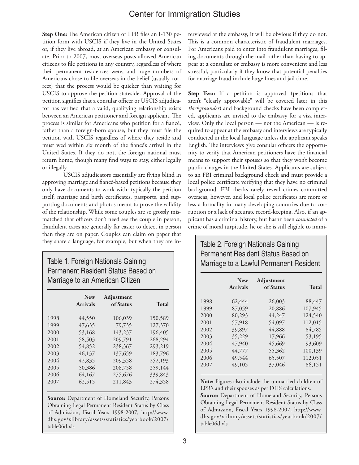**Step One:** The American citizen or LPR files an I-130 petition form with USCIS if they live in the United States or, if they live abroad, at an American embassy or consulate. Prior to 2007, most overseas posts allowed American citizens to file petitions in any country, regardless of where their permanent residences were, and huge numbers of Americans chose to file overseas in the belief (usually correct) that the process would be quicker than waiting for USCIS to approve the petition stateside. Approval of the petition signifies that a consular officer or USCIS adjudicator has verified that a valid, qualifying relationship exists between an American petitioner and foreign applicant. The process is similar for Americans who petition for a fiancé, rather than a foreign-born spouse, but they must file the petition with USCIS regardless of where they reside and must wed within six month of the fiancé's arrival in the United States. If they do not, the foreign national must return home, though many find ways to stay, either legally or illegally.

USCIS adjudicators essentially are flying blind in approving marriage and fiancé-based petitions because they only have documents to work with: typically the petition itself, marriage and birth certificates, passports, and supporting documents and photos meant to prove the validity of the relationship. While some couples are so grossly mismatched that officers don't need see the couple in person, fraudulent cases are generally far easier to detect in person than they are on paper. Couples can claim on paper that they share a language, for example, but when they are in-

### Table 1. Foreign Nationals Gaining Permanent Resident Status Based on Marriage to an American Citizen

|      | <b>New</b><br><b>Arrivals</b> | Adjustment<br>of Status | Total   |
|------|-------------------------------|-------------------------|---------|
| 1998 | 44,550                        | 106,039                 | 150,589 |
| 1999 | 47,635                        | 79,735                  | 127,370 |
| 2000 | 53,168                        | 143,237                 | 196,405 |
| 2001 | 58,503                        | 209,791                 | 268,294 |
| 2002 | 54,852                        | 238,367                 | 293,219 |
| 2003 | 46,137                        | 137,659                 | 183,796 |
| 2004 | 42,835                        | 209,358                 | 252,193 |
| 2005 | 50,386                        | 208,758                 | 259,144 |
| 2006 | 64,167                        | 275,676                 | 339,843 |
| 2007 | 62,515                        | 211,843                 | 274,358 |

**Source:** Department of Homeland Security, Persons Obtaining Legal Permanent Resident Status by Class of Admission, Fiscal Years 1998-2007, http://www. dhs.gov/xlibrary/assets/statistics/yearbook/2007/ table06d.xls

terviewed at the embassy, it will be obvious if they do not. This is a common characteristic of fraudulent marriages. For Americans paid to enter into fraudulent marriages, filing documents through the mail rather than having to appear at a consulate or embassy is more convenient and less stressful, particularly if they know that potential penalties for marriage fraud include large fines and jail time.

Step Two: If a petition is approved (petitions that aren't "clearly approvable" will be covered later in this *Backgrounder*) and background checks have been completed, applicants are invited to the embassy for a visa interview. Only the local person — not the American — is required to appear at the embassy and interviews are typically conducted in the local language unless the applicant speaks English. The interviews give consular officers the opportunity to verify that American petitioners have the financial means to support their spouses so that they won't become public charges in the United States. Applicants are subject to an FBI criminal background check and must provide a local police certificate verifying that they have no criminal background. FBI checks rarely reveal crimes committed overseas, however, and local police certificates are more or less a formality in many developing countries due to corruption or a lack of accurate record-keeping. Also, if an applicant has a criminal history, but hasn't been *convicted* of a crime of moral turpitude, he or she is still eligible to immi-

### Table 2. Foreign Nationals Gaining Permanent Resident Status Based on Marriage to a Lawful Permanent Resident

|      | <b>New</b>      | <b>Adjustment</b> |              |
|------|-----------------|-------------------|--------------|
|      | <b>Arrivals</b> | of Status         | <b>Total</b> |
| 1998 | 62,444          | 26,003            | 88,447       |
| 1999 | 87,059          | 20,886            | 107,945      |
| 2000 | 80,293          | 44,247            | 124,540      |
| 2001 | 57,918          | 54,097            | 112,015      |
| 2002 | 39,897          | 44,888            | 84,785       |
| 2003 | 35,229          | 17,966            | 53,195       |
| 2004 | 47,940          | 45,669            | 93,609       |
| 2005 | 44,777          | 55,362            | 100,139      |
| 2006 | 49,544          | 65,507            | 112,051      |
| 2007 | 49,105          | 37,046            | 86,151       |

**Note:** Figures also include the unmarried children of LPR's and their spouses as per DHS calculations.

**Source:** Department of Homeland Security, Persons Obtaining Legal Permanent Resident Status by Class of Admission, Fiscal Years 1998-2007, http://www. dhs.gov/xlibrary/assets/statistics/yearbook/2007/ table06d.xls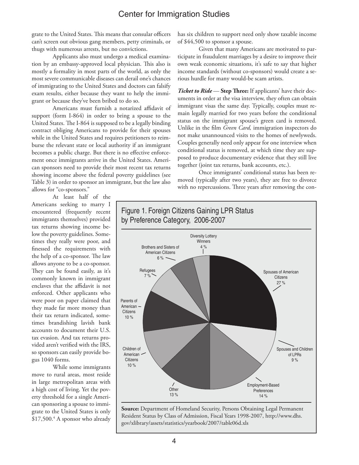grate to the United States. This means that consular officers can't screen out obvious gang members, petty criminals, or thugs with numerous arrests, but no convictions.

Applicants also must undergo a medical examination by an embassy-approved local physician. This also is mostly a formality in most parts of the world, as only the most severe communicable diseases can derail one's chances of immigrating to the United States and doctors can falsify exam results, either because they want to help the immigrant or because they've been bribed to do so.

Americans must furnish a notarized affidavit of support (form I-864) in order to bring a spouse to the United States. The I-864 is supposed to be a legally binding contract obliging Americans to provide for their spouses while in the United States and requires petitioners to reimburse the relevant state or local authority if an immigrant becomes a public charge. But there is no effective enforcement once immigrants arrive in the United States. American sponsors need to provide their most recent tax returns showing income above the federal poverty guidelines (see Table 3) in order to sponsor an immigrant, but the law also allows for "co-sponsors."

At least half of the Americans seeking to marry I encountered (frequently recent immigrants themselves) provided tax returns showing income below the poverty guidelines. Sometimes they really were poor, and finessed the requirements with the help of a co-sponsor. The law allows anyone to be a co-sponsor. They can be found easily, as it's commonly known in immigrant enclaves that the affidavit is not enforced. Other applicants who were poor on paper claimed that they made far more money than their tax return indicated, sometimes brandishing lavish bank accounts to document their U.S. tax evasion. And tax returns provided aren't verified with the IRS, so sponsors can easily provide bogus 1040 forms.

While some immigrants move to rural areas, most reside in large metropolitan areas with a high cost of living. Yet the poverty threshold for a single American sponsoring a spouse to immigrate to the United States is only \$17,500.4 A sponsor who already

has six children to support need only show taxable income of \$44,500 to sponsor a spouse.

Given that many Americans are motivated to participate in fraudulent marriages by a desire to improve their own weak economic situations, it's safe to say that higher income standards (without co-sponsors) would create a serious hurdle for many would-be scam artists.

*Ticket to Ride* — **Step Three:** If applicants' have their documents in order at the visa interview, they often can obtain immigrant visas the same day. Typically, couples must remain legally married for two years before the conditional status on the immigrant spouse's green card is removed. Unlike in the film *Green Card,* immigration inspectors do not make unannounced visits to the homes of newlyweds. Couples generally need only appear for one interview when conditional status is removed, at which time they are supposed to produce documentary evidence that they still live together (joint tax returns, bank accounts, etc.).

Once immigrants' conditional status has been removed (typically after two years), they are free to divorce with no repercussions. Three years after removing the con-



**Source:** Department of Homeland Security, Persons Obtaining Legal Permanent Resident Status by Class of Admission, Fiscal Years 1998-2007, http://www.dhs. gov/xlibrary/assets/statistics/yearbook/2007/table06d.xls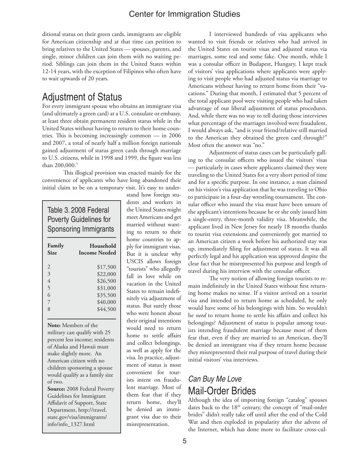ditional status on their green cards, immigrants are eligible for American citizenship and at that time can petition to bring relatives to the United States — spouses, parents, and single, minor children can join them with no waiting period. Siblings can join them in the United States within 12-14 years, with the exception of Filipinos who often have to wait upwards of 20 years.

# Adjustment of Status

For every immigrant spouse who obtains an immigrant visa (and ultimately a green card) at a U.S. consulate or embassy, at least three obtain permanent resident status while in the United States without having to return to their home countries. This is becoming increasingly common — in 2006 and 2007, a total of nearly half a million foreign nationals gained adjustment of status green cards through marriage to U.S. citizens, while in 1998 and 1999, the figure was less than 200,000.<sup>5</sup>

This illogical provision was enacted mainly for the convenience of applicants who have long abandoned their initial claim to be on a temporary visit. It's easy to under-

# Table 3. 2008 Federal Poverty Guidelines for Sponsoring Immigrants

| Family<br><b>Size</b> | Household<br><b>Income Needed</b> |  |  |
|-----------------------|-----------------------------------|--|--|
| $\mathcal{D}_{\cdot}$ | \$17,500                          |  |  |
| 3                     | \$22,000                          |  |  |
| 4                     | \$26,500                          |  |  |
| $\overline{5}$        | \$31,000                          |  |  |
| 6                     | \$35,500                          |  |  |
| 7                     | \$40,000                          |  |  |
| 8                     | \$44,500                          |  |  |

**Note:** Members of the military can qualify with 25 percent less income; residents of Alaska and Hawaii must make slightly more. An American citizen with no children sponsoring a spouse would qualify as a family size of two.

**Source:** 2008 Federal Poverty Guidelines for Immigrant Affidavit of Support, State Department, http://travel. state.gov/visa/immigrants/ info/info\_1327.html

stand how foreign students and workers in the United States might meet Americans and get married without wanting to return to their home countries to apply for immigrant visas. But it is unclear why USCIS allows foreign "tourists" who allegedly fall in love while on vacation in the United States to remain indefinitely via adjustment of status. But surely those who were honest about their original intentions would need to return home to settle affairs and collect belongings, as well as apply for the visa. In practice, adjustment of status is most convenient for tourists intent on fraudulent marriage. Most of them fear that if they return home, they'll be denied an immigrant visa due to their misrepresentation.

I interviewed hundreds of visa applicants who wanted to visit friends or relatives who had arrived in the United States on tourist visas and adjusted status via marriages, some real and some fake. One month, while I was a consular officer in Budapest, Hungary, I kept track of visitors' visa applications where applicants were applying to visit people who had adjusted status via marriage to Americans without having to return home from their "vacations." During that month, I estimated that 5 percent of the total applicant pool were visiting people who had taken advantage of our liberal adjustment of status procedures. And, while there was no way to tell during those interviews what percentage of the marriages involved were fraudulent, I would always ask, "and is your friend/relative still married to the American they obtained the green card through?" Most often the answer was "no."

Adjustment of status cases can be particularly galling to the consular officers who issued the visitors' visas — particularly in cases where applicants claimed they were traveling to the United States for a very short period of time and for a specific purpose. In one instance, a man claimed on his visitor's visa application that he was traveling to Ohio to participate in a four-day wrestling tournament. The consular officer who issued the visa must have been unsure of the applicant's intentions because he or she only issued him a single-entry, three-month validity visa. Meanwhile, the applicant lived in New Jersey for nearly 18 months thanks to tourist visa extensions and conveniently got married to an American citizen a week before his authorized stay was up, immediately filing for adjustment of status. It was all perfectly legal and his application was approved despite the clear fact that he misrepresented his purpose and length of travel during his interview with the consular officer.

The very notion of allowing foreign tourists to remain indefinitely in the United States without first returning home makes no sense. If a visitor arrived on a tourist visa and intended to return home as scheduled, he only would have some of his belongings with him. So wouldn't he *need* to return home to settle his affairs and collect his belongings? Adjustment of status is popular among tourists intending fraudulent marriage because most of them fear that, even if they are married to an American, they'll be denied an immigrant visa if they return home because they misrepresented their real purpose of travel during their initial visitors' visa interviews.

# *Can Buy Me Love* Mail-Order Brides

Although the idea of importing foreign "catalog" spouses dates back to the 18<sup>th</sup> century, the concept of "mail-order brides" didn't really take off until after the end of the Cold War and then exploded in popularity after the advent of the Internet, which has done more to facilitate cross-cul-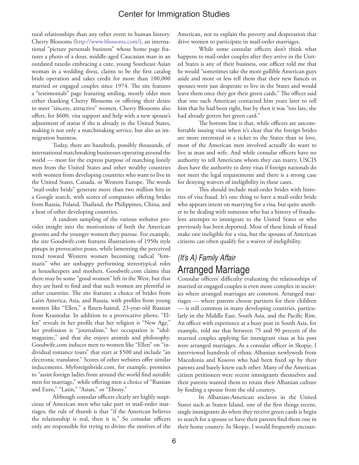tural relationships than any other event in human history. Cherry Blossoms (http://www.blossoms.com/), an international "picture personals business" whose home page features a photo of a dour, middle-aged Caucasian man in an outdated tuxedo embracing a cute, young Southeast Asian woman in a wedding dress, claims to be the first catalog bride operation and takes credit for more than 100,000 married or engaged couples since 1974. The site features a "testimonials" page featuring smiling, mostly older men either thanking Cherry Blossoms or offering their desire to meet "sincere, attractive" women. Cherry Blossoms also offers, for \$600, visa support and help with a new spouse's adjustment of status if she is already in the United States, making it not only a matchmaking service, but also an immigration business.

Today, there are hundreds, possibly thousands, of international matchmaking businesses operating around the world — most for the express purpose of matching lonely men from the United States and other wealthy countries with women from developing countries who want to live in the United States, Canada, or Western Europe. The words "mail-order bride" generate more than two million hits in a Google search, with scores of companies offering brides from Russia, Poland, Thailand, the Philippines, China, and a host of other developing countries.

A random sampling of the various websites provides insight into the motivations of both the American grooms and the younger women they pursue. For example, the site Goodwife.com features illustrations of 1950s style pinups in provocative poses, while lamenting the perceived trend toward Western women becoming radical "feminazis" who are unhappy performing stereotypical roles as housekeepers and mothers. Goodwife.com claims that there may be some "good women" left in the West, but that they are hard to find and that such women are plentiful in other countries. The site features a choice of brides from Latin America, Asia, and Russia, with profiles from young women like "Ellen," a flaxen-haired, 23-year-old Russian from Krasnodar. In addition to a provocative photo, "Ellen" reveals in her profile that her religion is "New Age," her profession is "journalism," her occupation is "idolmagazine," and that she enjoys animals and philosophy. Goodwife.com induces men to women like "Ellen" on "individual romance tours" that start at \$500 and include "an electronic translator." Scores of other websites offer similar inducements. Myforeignbride.com, for example, promises to "assist foreign ladies from around the world find suitable men for marriage," while offering men a choice of "Russian and Euro," "Latin," "Asian," or "Ebony."

Although consular officers clearly are highly suspicious of American men who take part in mail-order marriages, the rule of thumb is that "if the American believes the relationship is real, then it is." So consular officers only are responsible for trying to divine the motives of the American, not to explain the poverty and desperation that drive women to participate in mail-order marriages.

While some consular officers don't think what happens to mail-order couples after they arrive in the United States is any of their business, one officer told me that he would "sometimes take the more gullible American guys aside and more or less tell them that their new fiancés or spouses were just desperate to live in the States and would leave them once they got their green cards." The officer said that one such American contacted him years later to tell him that he had been right, but by then it was "too late, she had already gotten her green card."

The bottom line is that, while officers are uncomfortable issuing visas when it's clear that the foreign brides are more interested in a ticket to the States than in love, most of the American men involved actually do want to live as man and wife. And while consular officers have no authority to tell Americans whom they can marry, USCIS does have the authority to deny visas if foreign nationals do not meet the legal requirements and there is a strong case for denying waivers of ineligibility in these cases.

This should include mail-order brides with histories of visa fraud. It's one thing to have a mail-order bride who appears intent on marrying for a visa, but quite another to be dealing with someone who has a history of fraudulent attempts to immigrate to the United States or who previously has been deported. Most of these kinds of fraud make one ineligible for a visa, but the spouses of American citizens can often qualify for a waiver of ineligibility.

# *(It's A) Family Affair* Arranged Marriage

Consular officers' difficulty evaluating the relationships of married or engaged couples is even more complex in societies where arranged marriages are common. Arranged marriages — where parents choose partners for their children — is still common in many developing countries, particularly in the Middle East, South Asia, and the Pacific Rim. An officer with experience at a busy post in South Asia, for example, told me that between 75 and 90 percent of the married couples applying for immigrant visas at his post were arranged marriages. As a consular officer in Skopje, I interviewed hundreds of ethnic Albanian newlyweds from Macedonia and Kosovo who had been fixed up by their parents and barely knew each other. Many of the American citizen petitioners were recent immigrants themselves and their parents wanted them to retain their Albanian culture by finding a spouse from the old country.

In Albanian-American enclaves in the United States such as Staten Island, one of the first things recent, single immigrants do when they receive green cards is begin to search for a spouse or have their parents find them one in their home country. In Skopje, I would frequently encoun-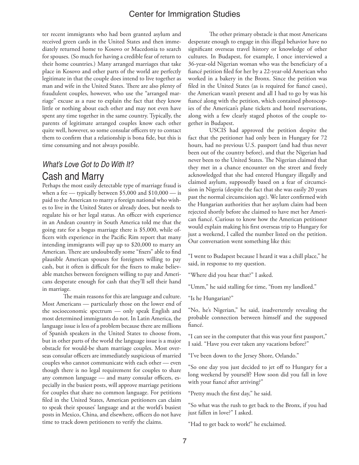ter recent immigrants who had been granted asylum and received green cards in the United States and then immediately returned home to Kosovo or Macedonia to search for spouses. (So much for having a credible fear of return to their home countries.) Many arranged marriages that take place in Kosovo and other parts of the world are perfectly legitimate in that the couple does intend to live together as man and wife in the United States. There are also plenty of fraudulent couples, however, who use the "arranged marriage" excuse as a ruse to explain the fact that they know little or nothing about each other and may not even have spent any time together in the same country. Typically, the parents of legitimate arranged couples know each other quite well, however, so some consular officers try to contact them to confirm that a relationship is bona fide, but this is time consuming and not always possible.

# *What's Love Got to Do With It?* Cash and Marry

Perhaps the most easily detectable type of marriage fraud is when a fee — typically between  $$5,000$  and  $$10,000$  — is paid to the American to marry a foreign national who wishes to live in the United States or already does, but needs to regulate his or her legal status. An officer with experience in an Andean country in South America told me that the going rate for a bogus marriage there is \$5,000, while officers with experience in the Pacific Rim report that many intending immigrants will pay up to \$20,000 to marry an American. There are undoubtedly some "fixers" able to find plausible American spouses for foreigners willing to pay cash, but it often is difficult for the fixers to make believable matches between foreigners willing to pay and Americans desperate enough for cash that they'll sell their hand in marriage.

The main reasons for this are language and culture. Most Americans — particularly those on the lower end of the socioeconomic spectrum — only speak English and most determined immigrants do not. In Latin America, the language issue is less of a problem because there are millions of Spanish speakers in the United States to choose from, but in other parts of the world the language issue is a major obstacle for would-be sham marriage couples. Most overseas consular officers are immediately suspicious of married couples who cannot communicate with each other — even though there is no legal requirement for couples to share any common language — and many consular officers, especially in the busiest posts, will approve marriage petitions for couples that share no common language. For petitions filed in the United States, American petitioners can claim to speak their spouses' language and at the world's busiest posts in Mexico, China, and elsewhere, officers do not have time to track down petitioners to verify the claims.

The other primary obstacle is that most Americans desperate enough to engage in this illegal behavior have no significant overseas travel history or knowledge of other cultures. In Budapest, for example, I once interviewed a 36-year-old Nigerian woman who was the beneficiary of a fiancé petition filed for her by a 22-year-old American who worked in a bakery in the Bronx. Since the petition was filed in the United States (as is required for fiancé cases), the American wasn't present and all I had to go by was his fiancé along with the petition, which contained photocopies of the American's plane tickets and hotel reservations, along with a few clearly staged photos of the couple together in Budapest.

USCIS had approved the petition despite the fact that the petitioner had only been in Hungary for 72 hours, had no previous U.S. passport (and had thus never been out of the country before), and that the Nigerian had never been to the United States. The Nigerian claimed that they met in a chance encounter on the street and freely acknowledged that she had entered Hungary illegally and claimed asylum, supposedly based on a fear of circumcision in Nigeria (despite the fact that she was easily 20 years past the normal circumcision age). We later confirmed with the Hungarian authorities that her asylum claim had been rejected shortly before she claimed to have met her American fiancé. Curious to know how the American petitioner would explain making his first overseas trip to Hungary for just a weekend, I called the number listed on the petition. Our conversation went something like this:

"I went to Budapest because I heard it was a chill place," he said, in response to my question.

"Where did you hear that?" I asked.

"Umm," he said stalling for time, "from my landlord."

"Is he Hungarian?"

"No, he's Nigerian," he said, inadvertently revealing the probable connection between himself and the supposed fiancé.

"I can see in the computer that this was your first passport," I said. "Have you ever taken any vacations before?"

"I've been down to the Jersey Shore, Orlando."

"So one day you just decided to jet off to Hungary for a long weekend by yourself? How soon did you fall in love with your fiancé after arriving?"

"Pretty much the first day," he said.

"So what was the rush to get back to the Bronx, if you had just fallen in love?" I asked.

"Had to get back to work!" he exclaimed.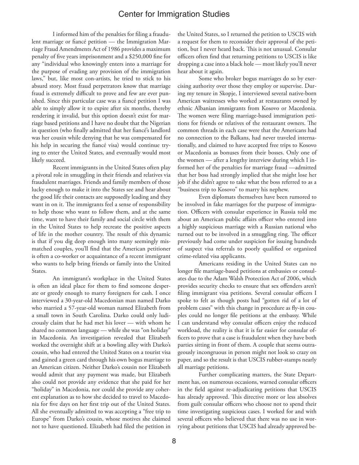I informed him of the penalties for filing a fraudulent marriage or fiancé petition — the Immigration Marriage Fraud Amendments Act of 1986 provides a maximum penalty of five years imprisonment and a \$250,000 fine for any "individual who knowingly enters into a marriage for the purpose of evading any provision of the immigration laws," but, like most con-artists, he tried to stick to his absurd story. Most fraud perpetrators know that marriage fraud is extremely difficult to prove and few are ever punished. Since this particular case was a fiancé petition I was able to simply allow it to expire after six months, thereby rendering it invalid, but this option doesn't exist for marriage based petitions and I have no doubt that the Nigerian in question (who finally admitted that her fiancé's landlord was her cousin while denying that he was compensated for his help in securing the fiancé visa) would continue trying to enter the United States, and eventually would most likely succeed.

Recent immigrants in the United States often play a pivotal role in smuggling in their friends and relatives via fraudulent marriages. Friends and family members of those lucky enough to make it into the States see and hear about the good life their contacts are supposedly leading and they want in on it. The immigrants feel a sense of responsibility to help those who want to follow them, and at the same time, want to have their family and social circle with them in the United States to help recreate the positive aspects of life in the mother country. The result of this dynamic is that if you dig deep enough into many seemingly mismatched couples, you'll find that the American petitioner is often a co-worker or acquaintance of a recent immigrant who wants to help bring friends or family into the United States.

An immigrant's workplace in the United States is often an ideal place for them to find someone desperate or greedy enough to marry foreigners for cash. I once interviewed a 30-year-old Macedonian man named Darko who married a 57-year-old woman named Elizabeth from a small town in South Carolina. Darko could only ludicrously claim that he had met his lover — with whom he shared no common language — while she was "on holiday" in Macedonia. An investigation revealed that Elizabeth worked the overnight shift at a bowling alley with Darko's cousin, who had entered the United States on a tourist visa and gained a green card through his own bogus marriage to an American citizen. Neither Darko's cousin nor Elizabeth would admit that any payment was made, but Elizabeth also could not provide any evidence that she paid for her "holiday" in Macedonia, nor could she provide any coherent explanation as to how she decided to travel to Macedonia for five days on her first trip out of the United States. All she eventually admitted to was accepting a "free trip to Europe" from Darko's cousin, whose motives she claimed not to have questioned. Elizabeth had filed the petition in

the United States, so I returned the petition to USCIS with a request for them to reconsider their approval of the petition, but I never heard back. This is not unusual. Consular officers often find that returning petitions to USCIS is like dropping a case into a black hole — most likely you'll never hear about it again.

Some who broker bogus marriages do so by exercising authority over those they employ or supervise. During my tenure in Skopje, I interviewed several native-born American waitresses who worked at restaurants owned by ethnic Albanian immigrants from Kosovo or Macedonia. The women were filing marriage-based immigration petitions for friends or relatives of the restaurant owners. The common threads in each case were that the Americans had no connection to the Balkans, had never traveled internationally, and claimed to have accepted free trips to Kosovo or Macedonia as bonuses from their bosses. Only one of the women — after a lengthy interview during which I informed her of the penalties for marriage fraud —admitted that her boss had strongly implied that she might lose her job if she didn't agree to take what the boss referred to as a "business trip to Kosovo" to marry his nephew.

Even diplomats themselves have been rumored to be involved in fake marriages for the purpose of immigration. Officers with consular experience in Russia told me about an American public affairs officer who entered into a highly suspicious marriage with a Russian national who turned out to be involved in a smuggling ring. The officer previously had come under suspicion for issuing hundreds of suspect visa referrals to poorly qualified or organized crime-related visa applicants.

Americans residing in the United States can no longer file marriage-based petitions at embassies or consulates due to the Adam Walsh Protection Act of 2006, which provides security checks to ensure that sex offenders aren't filing immigrant visa petitions. Several consular officers I spoke to felt as though posts had "gotten rid of a lot of problem cases" with this change in procedure as fly-in couples could no longer file petitions at the embassy. While I can understand why consular officers enjoy the reduced workload, the reality is that it is far easier for consular officers to prove that a case is fraudulent when they have both parties sitting in front of them. A couple that seems outrageously incongruous in person might not look so crazy on paper, and so the result is that USCIS rubber-stamps nearly all marriage petitions.

Further complicating matters, the State Department has, on numerous occasions, warned consular officers in the field against re-adjudicating petitions that USCIS has already approved. This directive more or less absolves from guilt consular officers who choose not to spend their time investigating suspicious cases. I worked for and with several officers who believed that there was no use in worrying about petitions that USCIS had already approved be-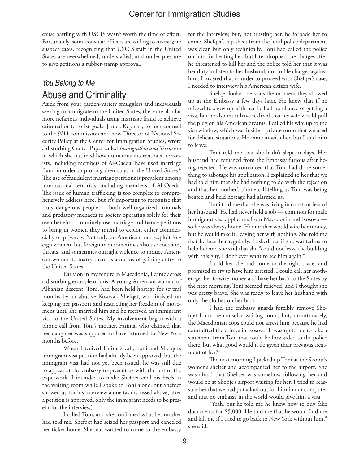cause battling with USCIS wasn't worth the time or effort. Fortunately, some consular officers are willing to investigate suspect cases, recognizing that USCIS staff in the United States are overwhelmed, understaffed, and under pressure to give petitions a rubber-stamp approval.

# *You Belong to Me* Abuse and Criminality

Aside from your garden-variety smugglers and individuals seeking to immigrate to the United States, there are also far more nefarious individuals using marriage fraud to achieve criminal or terrorist goals. Janice Kephart, former counsel to the 9/11 commission and now Director of National Security Policy at the Center for Immigration Studies, wrote a disturbing Center Paper called *Immigration and Terrorism* in which she outlined how numerous international terrorists, including members of Al-Qaeda, have used marriage fraud in order to prolong their stays in the United States.<sup>6</sup> The use of fraudulent marriage petitions is prevalent among international terrorists, including members of Al-Qaeda. The issue of human trafficking is too complex to comprehensively address here, but it's important to recognize that truly dangerous people — both well-organized criminals and predatory menaces to society operating solely for their own benefit — routinely use marriage and fiancé petitions to bring in women they intend to exploit either commercially or privately. Not only do American men exploit foreign women, but foreign men sometimes also use coercion, threats, and sometimes outright violence to induce American women to marry them as a means of gaining entry to the United States.

Early on in my tenure in Macedonia, I came across a disturbing example of this. A young American woman of Albanian descent, Toni, had been held hostage for several months by an abusive Kosovar, Shefqet, who insisted on keeping her passport and restricting her freedom of movement until she married him and he received an immigrant visa to the United States. My involvement began with a phone call from Toni's mother, Fatima, who claimed that her daughter was supposed to have returned to New York months before.

When I recived Fatima's call, Toni and Shefqet's immigrant visa petition had already been approved, but the immigrant visa had not yet been issued; he was still due to appear at the embassy to present us with the rest of the paperwork. I intended to make Shefqet cool his heels in the waiting room while I spoke to Toni alone, but Shefqet showed up for his interview alone (as discussed above, after a petition is approved, only the immigrant needs to be present for the interview).

I called Toni, and she confirmed what her mother had told me. Shefqet had seized her passport and canceled her ticket home. She had wanted to come to the embassy

for the interview, but, not trusting her, he forbade her to come. Shefqet's rap sheet from the local police department was clear, but only technically. Toni had called the police on him for beating her, but later dropped the charges after he threatened to kill her and the police told her that it was her duty to listen to her husband, not to file charges against him. I insisted that in order to proceed with Shefqet's case, I needed to interview his American citizen wife.

Shefqet looked nervous the moment they showed up at the Embassy a few days later. He knew that if he refused to show up with her he had no chance of getting a visa, but he also must have realized that his wife would pull the plug on his American dreams. I called his wife up to the visa window, which was inside a private room that we used for delicate situations. He came in with her, but I told him to leave.

Toni told me that she hadn't slept in days. Her husband had returned from the Embassy furious after being rejected. He was convinced that Toni had done something to sabotage his application. I explained to her that we had told him that she had nothing to do with the rejection and that her mother's phone call telling us Toni was being beaten and held hostage had alarmed us.

Toni told me that she was living in constant fear of her husband. He had never held a job — common for male immigrant visa applicants from Macedonia and Kosovo so he was always home. Her mother would wire her money, but he would take it, leaving her with nothing. She told me that he beat her regularly. I asked her if she wanted us to help her and she said that she "could not leave the building with this guy, I don't ever want to see him again."

I told her she had come to the right place, and promised to try to have him arrested. I could call her mother, get her to wire money and have her back to the States by the next morning. Toni seemed relieved, and I thought she was pretty brave. She was ready to leave her husband with only the clothes on her back.

I had the embassy guards forcibly remove Shefqet from the consular waiting room, but, unfortunately, the Macedonian cops could not arrest him because he had committed the crimes in Kosovo. It was up to me to take a statement from Toni that could be forwarded to the police there, but what good would it do given their previous treatment of her?

The next morning I picked up Toni at the Skopje's women's shelter and accompanied her to the airport. She was afraid that Shefqet was somehow following her and would be at Skopje's airport waiting for her. I tried to reassure her that we had put a lookout for him in our computer and that no embassy in the world would give him a visa.

"Yeah, but he told me he knew how to buy fake documents for \$5,000. He told me that he would find me and kill me if I tried to go back to New York without him," she said.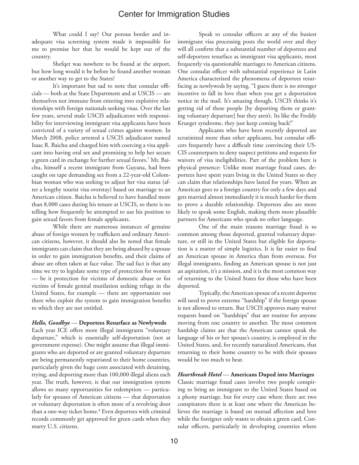What could I say? Our porous border and inadequate visa screening system made it impossible for me to promise her that he would be kept out of the country.

Shefqet was nowhere to be found at the airport, but how long would it be before he found another woman or another way to get to the States?

It's important but sad to note that consular officials — both at the State Department and at USCIS — are themselves not immune from entering into exploitive relationships with foreign nationals seeking visas. Over the last few years, several male USCIS adjudicators with responsibility for interviewing immigrant visa applicants have been convicted of a variety of sexual crimes against women. In March 2008, police arrested a USCIS adjudicator named Isaac R. Baichu and charged him with coercing a visa applicant into having oral sex and promising to help her secure a green card in exchange for further sexual favors.7 Mr. Baichu, himself a recent immigrant from Guyana, had been caught on tape demanding sex from a 22-year-old Colombian woman who was seeking to adjust her visa status (after a lengthy tourist visa overstay) based on marriage to an American citizen. Baichu is believed to have handled more than 8,000 cases during his tenure at USCIS, so there is no telling how frequently he attempted to use his position to gain sexual favors from female applicants.

While there are numerous instances of genuine abuse of foreign women by traffickers and ordinary American citizens, however, it should also be noted that female immigrants can claim that they are being abused by a spouse in order to gain immigration benefits, and their claims of abuse are often taken at face value. The sad fact is that any time we try to legislate some type of protection for women — be it protection for victims of domestic abuse or for victims of female genital mutilation seeking refuge in the United States, for example — there are opportunists out there who exploit the system to gain immigration benefits to which they are not entitled.

#### *Hello, Goodbye* — **Deportees Resurface as Newlyweds**

Each year ICE offers more illegal immigrants "voluntary departure," which is essentially self-deportation (not at government expense). One might assume that illegal immigrants who are deported or are granted voluntary departure are being permanently repatriated to their home countries, particularly given the huge costs associated with detaining, trying, and deporting more than 100,000 illegal aliens each year. The truth, however, is that our immigration system allows so many opportunities for redemption — particularly for spouses of American citizens — that deportation or voluntary deportation is often more of a revolving door than a one-way ticket home.<sup>8</sup> Even deportees with criminal records commonly get approved for green cards when they marry U.S. citizens.

Speak to consular officers at any of the busiest immigrant visa processing posts the world over and they will all confirm that a substantial number of deportees and self-deportees resurface as immigrant visa applicants, most frequently via questionable marriages to American citizens. One consular officer with substantial experience in Latin America characterized the phenomena of deportees resurfacing as newlyweds by saying, "I guess there is no stronger incentive to fall in love than when you get a deportation notice in the mail. It's amazing though, USCIS thinks it's getting rid of these people [by deporting them or granting voluntary departure] but they aren't. Its like the Freddy Krueger syndrome, they just keep coming back!"

Applicants who have been recently deported are scrutinized more than other applicants, but consular officers frequently have a difficult time convincing their US-CIS counterparts to deny suspect petitions and requests for waivers of visa ineligibilities. Part of the problem here is physical presence: Unlike most marriage fraud cases, deportees have spent years living in the United States so they can claim that relationships have lasted for years. When an American goes to a foreign country for only a few days and gets married almost immediately it is much harder for them to prove a durable relationship. Deportees also are more likely to speak some English, making them more plausible partners for Americans who speak no other language.

One of the main reasons marriage fraud is so common among those deported, granted voluntary departure, or still in the United States but eligible for deportation is a matter of simple logistics. It is far easier to find an American spouse in America than from overseas. For illegal immigrants, finding an American spouse is not just an aspiration, it's a mission, and it is the most common way of returning to the United States for those who have been deported.

Typically, the American spouse of a recent deportee will need to prove extreme "hardship" if the foreign spouse is not allowed to return. But USCIS approves many waiver requests based on "hardships" that are routine for anyone moving from one country to another. The most common hardship claims are that the American cannot speak the language of his or her spouse's country, is employed in the United States, and, for recently naturalized Americans, that returning to their home country to be with their spouses would be too much to bear.

#### *Heartbreak Hotel* — **Americans Duped into Marriages**

Classic marriage fraud cases involve two people conspiring to bring an immigrant to the United States based on a phony marriage, but for every case where there are two conspirators there is at least one where the American believes the marriage is based on mutual affection and love while the foreigner only wants to obtain a green card. Consular officers, particularly in developing countries where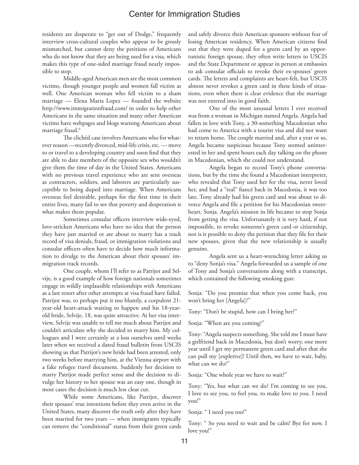residents are desperate to "get out of Dodge," frequently interview cross-cultural couples who appear to be grossly mismatched, but cannot deny the petitions of Americans who do not know that they are being used for a visa, which makes this type of one-sided marriage fraud nearly impossible to stop.

Middle-aged American men are the most common victims, though younger people and women fall victim as well. One American woman who fell victim to a sham marriage — Elena Maria Lopez — founded the website http://www.immigrationfraud.com/ in order to help other Americans in the same situation and many other American victims have webpages and blogs warning Americans about marriage fraud.<sup>9</sup>

The clichéd case involves Americans who for whatever reason —recently divorced, mid-life crisis, etc. — move to or travel to a developing country and soon find that they are able to date members of the opposite sex who wouldn't give them the time of day in the United States. Americans with no previous travel experience who are sent overseas as contractors, soldiers, and laborers are particularly susceptible to being duped into marriage. When Americans overseas feel desirable, perhaps for the first time in their entire lives, many fail to see that poverty and desperation is what makes them popular.

Sometimes consular officers interview wide-eyed, love-stricken Americans who have no idea that the person they have just married or are about to marry has a track record of visa denials, fraud, or immigration violations and consular officers often have to decide how much information to divulge to the American about their spouses' immigration track records.

One couple, whom I'll refer to as Patrijot and Selvije, is a good example of how foreign nationals sometimes engage in wildly implausible relationships with Americans as a last resort after other attempts at visa fraud have failed. Patrijot was, to perhaps put it too bluntly, a corpulent 21 year-old heart-attack waiting to happen and his 18-yearold bride, Selvije, 18, was quite attractive. At her visa interview, Selvije was unable to tell me much about Patrijot and couldn't articulate why she decided to marry him. My colleagues and I were certainly at a loss ourselves until weeks later when we received a dated fraud bulletin from USCIS showing us that Patrijot's new bride had been arrested, only two weeks before marrying him, at the Vienna airport with a fake refugee travel document. Suddenly her decision to marry Patrijot made perfect sense and the decision to divulge her history to her spouse was an easy one, though in most cases the decision is much less clear cut.

While some Americans, like Patrijot, discover their spouses' true intentions before they even arrive in the United States, many discover the truth only after they have been married for two years — when immigrants typically can remove the "conditional" status from their green cards

and safely divorce their American sponsors without fear of losing American residency. When American citizens find out that they were duped for a green card by an opportunistic foreign spouse, they often write letters to USCIS and the State Department or appear in person at embassies to ask consular officials to revoke their ex-spouses' green cards. The letters and complaints are heart-felt, but USCIS almost never revokes a green card in these kinds of situations, even when there is clear evidence that the marriage was not entered into in good faith.

One of the most unusual letters I ever received was from a woman in Michigan named Angela. Angela had fallen in love with Tony, a 30-something Macedonian who had come to America with a tourist visa and did not want to return home. The couple married and, after a year or so, Angela became suspicious because Tony seemed uninterested in her and spent hours each day talking on the phone in Macedonian, which she could not understand.

Angela began to record Tony's phone conversations, but by the time she found a Macedonian interpreter, who revealed that Tony used her for the visa, never loved her, and had a "real" fiancé back in Macedonia, it was too late. Tony already had his green card and was about to divorce Angela and file a petition for his Macedonian sweetheart, Sonja. Angela's mission in life became to stop Sonja from getting the visa. Unfortunately it is very hard, if not impossible, to revoke someone's green card or citizenship, nor is it possible to deny the petition that they file for their new spouses, given that the new relationship is usually genuine.

Angela sent us a heart-wrenching letter asking us to "deny Sonja's visa." Angela forwarded us a sample of one of Tony and Sonja's conversations along with a transcript, which contained the following smoking gun:

Sonja: "Do you promise that when you come back, you won't bring her [Angela]?"

Tony: "Don't be stupid, how can I bring her?"

Sonja: "When are you coming?"

Tony: "Angela suspects something. She told me I must have a girlfriend back in Macedonia, but don't worry, one more year until I get my permanent green card and after that she can pull my [expletive]! Until then, we have to wait, baby, what can we do?"

Sonja: "One whole year we have to wait?"

Tony: "Yes, but what can we do? I'm coming to see you, I love to see you, to feel you, to make love to you. I need you!"

Sonja: " I need you too!"

Tony: " So you need to wait and be calm! Bye for now. I love you!"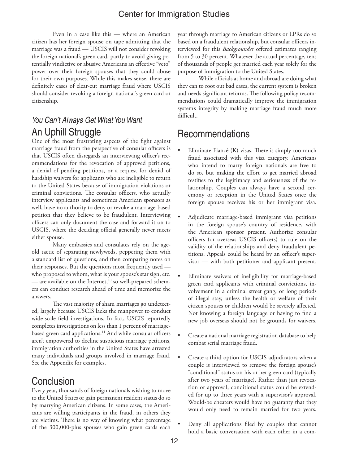Even in a case like this — where an American citizen has her foreign spouse on tape admitting that the marriage was a fraud — USCIS will not consider revoking the foreign national's green card, partly to avoid giving potentially vindictive or abusive Americans an effective "veto" power over their foreign spouses that they could abuse for their own purposes. While this makes sense, there are definitely cases of clear-cut marriage fraud where USCIS should consider revoking a foreign national's green card or citizenship.

# *You Can't Always Get What You Want* An Uphill Struggle

One of the most frustrating aspects of the fight against marriage fraud from the perspective of consular officers is that USCIS often disregards an interviewing officer's recommendations for the revocation of approved petitions, a denial of pending petitions, or a request for denial of hardship waivers for applicants who are ineligible to return to the United States because of immigration violations or criminal convictions. The consular officers, who actually interview applicants and sometimes American sponsors as well, have no authority to deny or revoke a marriage-based petition that they believe to be fraudulent. Interviewing officers can only document the case and forward it on to USCIS, where the deciding official generally never meets either spouse.

Many embassies and consulates rely on the ageold tactic of separating newlyweds, peppering them with a standard list of questions, and then comparing notes on their responses. But the questions most frequently used who proposed to whom, what is your spouse's star sign, etc. — are available on the Internet, $10$  so well-prepared schemers can conduct research ahead of time and memorize the answers.

The vast majority of sham marriages go undetected, largely because USCIS lacks the manpower to conduct wide-scale field investigations. In fact, USCIS reportedly completes investigations on less than 1 percent of marriagebased green card applications.<sup>11</sup> And while consular officers aren't empowered to decline suspicious marriage petitions, immigration authorities in the United States have arrested many individuals and groups involved in marriage fraud. See the Appendix for examples.

# Conclusion

Every year, thousands of foreign nationals wishing to move to the United States or gain permanent resident status do so by marrying American citizens. In some cases, the Americans are willing participants in the fraud, in others they are victims. There is no way of knowing what percentage of the 300,000-plus spouses who gain green cards each

year through marriage to American citizens or LPRs do so based on a fraudulent relationship, but consular officers interviewed for this *Backgrounder* offered estimates ranging from 5 to 30 percent*.* Whatever the actual percentage, tens of thousands of people get married each year solely for the purpose of immigration to the United States.

While officials at home and abroad are doing what they can to root out bad cases, the current system is broken and needs significant reforms. The following policy recommendations could dramatically improve the immigration system's integrity by making marriage fraud much more difficult.

# Recommendations

- Eliminate Fiancé  $(K)$  visas. There is simply too much fraud associated with this visa category. Americans who intend to marry foreign nationals are free to do so, but making the effort to get married abroad testifies to the legitimacy and seriousness of the relationship. Couples can always have a second ceremony or reception in the United States once the foreign spouse receives his or her immigrant visa.
- Adjudicate marriage-based immigrant visa petitions in the foreign spouse's country of residence, with the American sponsor present. Authorize consular officers (or overseas USCIS officers) to rule on the validity of the relationships and deny fraudulent petitions. Appeals could be heard by an officer's supervisor — with both petitioner and applicant present.
- Eliminate waivers of ineligibility for marriage-based green card applicants with criminal convictions, involvement in a criminal street gang, or long periods of illegal stay, unless the health or welfare of their citizen spouses or children would be severely affected. Not knowing a foreign language or having to find a new job overseas should not be grounds for waivers.
- Create a national marriage registration database to help combat serial marriage fraud.
- Create a third option for USCIS adjudicators when a couple is interviewed to remove the foreign spouse's "conditional" status on his or her green card (typically after two years of marriage). Rather than just revocation or approval, conditional status could be extended for up to three years with a supervisor's approval. Would-be cheaters would have no guaranty that they would only need to remain married for two years.
- Deny all applications filed by couples that cannot hold a basic conversation with each other in a com-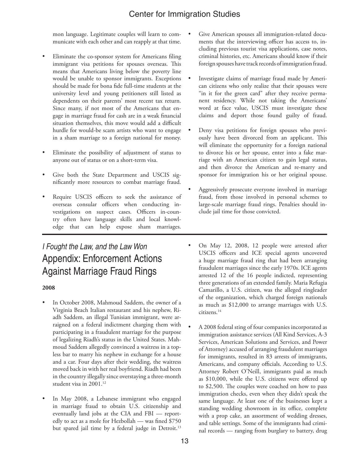mon language. Legitimate couples will learn to communicate with each other and can reapply at that time.

- Eliminate the co-sponsor system for Americans filing immigrant visa petitions for spouses overseas. This means that Americans living below the poverty line would be unable to sponsor immigrants. Exceptions should be made for bona fide full-time students at the university level and young petitioners still listed as dependents on their parents' most recent tax return. Since many, if not most of the Americans that engage in marriage fraud for cash are in a weak financial situation themselves, this move would add a difficult hurdle for would-be scam artists who want to engage in a sham marriage to a foreign national for money.
- Eliminate the possibility of adjustment of status to anyone out of status or on a short-term visa.
- Give both the State Department and USCIS significantly more resources to combat marriage fraud.
- Require USCIS officers to seek the assistance of overseas consular officers when conducting investigations on suspect cases. Officers in-country often have language skills and local knowledge that can help expose sham marriages.

# *I Fought the Law, and the Law Won* Appendix: Enforcement Actions Against Marriage Fraud Rings

#### **2008**

- In October 2008, Mahmoud Saddem, the owner of a Virginia Beach Italian restaurant and his nephew, Riadh Saddem, an illegal Tunisian immigrant, were arraigned on a federal indictment charging them with participating in a fraudulent marriage for the purpose of legalizing Riadh's status in the United States. Mahmoud Saddem allegedly convinced a waitress in a topless bar to marry his nephew in exchange for a house and a car. Four days after their wedding, the waitress moved back in with her real boyfriend. Riadh had been in the country illegally since overstaying a three-month student visa in 2001.<sup>12</sup>
- In May 2008, a Lebanese immigrant who engaged in marriage fraud to obtain U.S. citizenship and eventually land jobs at the CIA and FBI — reportedly to act as a mole for Hezbollah — was fined \$750 but spared jail time by a federal judge in Detroit.<sup>13</sup>
- Give American spouses all immigration-related documents that the interviewing officer has access to, including previous tourist visa applications, case notes, criminal histories, etc. Americans should know if their foreign spouses have track records of immigration fraud.
- Investigate claims of marriage fraud made by American citizens who only realize that their spouses were "in it for the green card" after they receive permanent residency. While not taking the Americans' word at face value, USCIS must investigate these claims and deport those found guilty of fraud.
- Deny visa petitions for foreign spouses who previously have been divorced from an applicant. This will eliminate the opportunity for a foreign national to divorce his or her spouse, enter into a fake marriage with an American citizen to gain legal status, and then divorce the American and re-marry and sponsor for immigration his or her original spouse.
- Aggressively prosecute everyone involved in marriage fraud, from those involved in personal schemes to large-scale marriage fraud rings. Penalties should include jail time for those convicted.
- On May 12, 2008, 12 people were arrested after USCIS officers and ICE special agents uncovered a huge marriage fraud ring that had been arranging fraudulent marriages since the early 1970s. ICE agents arrested 12 of the 16 people indicted, representing three generations of an extended family. Maria Refugia Camarillo, a U.S. citizen, was the alleged ringleader of the organization, which charged foreign nationals as much as \$12,000 to arrange marriages with U.S. citizens.14
- A 2008 federal sting of four companies incorporated as immigration assistance services (All Kind Services, A-3 Services, American Solutions and Services, and Power of Attorney) accused of arranging fraudulent marriages for immigrants, resulted in 83 arrests of immigrants, Americans, and company officials. According to U.S. Attorney Robert O'Neill, immigrants paid as much as \$10,000, while the U.S. citizens were offered up to \$2,500. The couples were coached on how to pass immigration checks, even when they didn't speak the same language. At least one of the businesses kept a standing wedding showroom in its office, complete with a prop cake, an assortment of wedding dresses, and table settings. Some of the immigrants had criminal records — ranging from burglary to battery, drug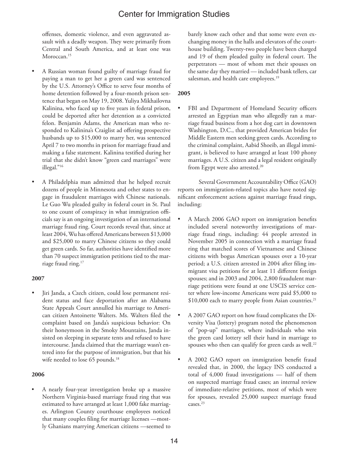offenses, domestic violence, and even aggravated assault with a deadly weapon. They were primarily from Central and South America, and at least one was Moroccan.<sup>15</sup>

- A Russian woman found guilty of marriage fraud for paying a man to get her a green card was sentenced by the U.S. Attorney's Office to serve four months of home detention followed by a four-month prison sentence that began on May 19, 2008. Yuliya Mikhailovna Kalinina, who faced up to five years in federal prison, could be deported after her detention as a convicted felon. Benjamin Adams, the American man who responded to Kalinina's Craiglist ad offering prospective husbands up to \$15,000 to marry her, was sentenced April 7 to two months in prison for marriage fraud and making a false statement. Kalinina testified during her trial that she didn't know "green card marriages" were illegal."16
- A Philadelphia man admitted that he helped recruit dozens of people in Minnesota and other states to engage in fraudulent marriages with Chinese nationals. Le Guo Wu pleaded guilty in federal court in St. Paul to one count of conspiracy in what immigration officials say is an ongoing investigation of an international marriage fraud ring. Court records reveal that, since at least 2004, Wu has offered Americans between \$13,000 and \$25,000 to marry Chinese citizens so they could get green cards. So far, authorities have identified more than 70 suspect immigration petitions tied to the marriage fraud ring.<sup>17</sup>

#### **2007**

Jiri Janda, a Czech citizen, could lose permanent resident status and face deportation after an Alabama State Appeals Court annulled his marriage to American citizen Antoinette Walters. Ms. Walters filed the complaint based on Janda's suspicious behavior: On their honeymoon in the Smoky Mountains, Janda insisted on sleeping in separate tents and refused to have intercourse. Janda claimed that the marriage wasn't entered into for the purpose of immigration, but that his wife needed to lose 65 pounds.<sup>18</sup>

#### **2006**

• A nearly four-year investigation broke up a massive Northern Virginia-based marriage fraud ring that was estimated to have arranged at least 1,000 fake marriages. Arlington County courthouse employees noticed that many couples filing for marriage licenses —mostly Ghanians marrying American citizens —seemed to

barely know each other and that some were even exchanging money in the halls and elevators of the courthouse building. Twenty-two people have been charged and 19 of them pleaded guilty in federal court. The perpetrators — most of whom met their spouses on the same day they married — included bank tellers, car salesman, and health care employees.<sup>19</sup>

#### **2005**

FBI and Department of Homeland Security officers arrested an Egyptian man who allegedly ran a marriage fraud business from a hot dog cart in downtown Washington, D.C., that provided American brides for Middle Eastern men seeking green cards. According to the criminal complaint, Aabid Shoeib, an illegal immigrant, is believed to have arranged at least 100 phony marriages. A U.S. citizen and a legal resident originally from Egypt were also arrested.<sup>20</sup>

Several Government Accountability Office (GAO) reports on immigration-related topics also have noted significant enforcement actions against marriage fraud rings, including:

- A March 2006 GAO report on immigration benefits included several noteworthy investigations of marriage fraud rings, including: 44 people arrested in November 2005 in connection with a marriage fraud ring that matched scores of Vietnamese and Chinese citizens with bogus American spouses over a 10-year period; a U.S. citizen arrested in 2004 after filing immigrant visa petitions for at least 11 different foreign spouses; and in 2003 and 2004, 2,800 fraudulent marriage petitions were found at one USCIS service center where low-income Americans were paid \$5,000 to \$10,000 each to marry people from Asian countries.<sup>21</sup>
- A 2007 GAO report on how fraud complicates the Diversity Visa (lottery) program noted the phenomenon of "pop-up" marriages, where individuals who win the green card lottery sell their hand in marriage to spouses who then can qualify for green cards as well.<sup>22</sup>
- A 2002 GAO report on immigration benefit fraud revealed that, in 2000, the legacy INS conducted a total of 4,000 fraud investigations — half of them on suspected marriage fraud cases; an internal review of immediate-relative petitions, most of which were for spouses, revealed 25,000 suspect marriage fraud cases.<sup>23</sup>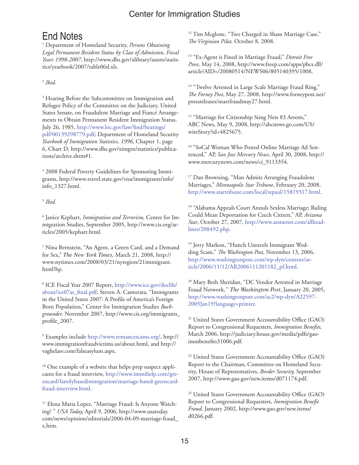# End Notes

1 Department of Homeland Security, *Persons Obtaining Legal Permanent Resident Status by Class of Admission, Fiscal Years 1998-2007,* http://www.dhs.gov/xlibrary/assets/statistics/yearbook/2007/table06d.xls.

#### <sup>2</sup> *Ibid.*

<sup>3</sup> Hearing Before the Subcommittee on Immigration and Refugee Policy of the Committee on the Judiciary, United States Senate, on Fraudulent Marriage and Fiancé Arrangements to Obtain Permanent Resident Immigration Status, July 26, 1985, http://www.loc.gov/law/find/hearings/ pdf/00139298779.pdf; Department of Homeland Security *Yearbook of Immigration Statistics, 1996,* Chapter 1, page 6, Chart D, http://www.dhs.gov/ximgtn/statistics/publications/archive.shtm#1.

4 2008 Federal Poverty Guidelines for Sponsoring Immigrants, http://www.travel.state.gov/visa/immigrants/info/ info\_1327.html.

#### <sup>5</sup> *Ibid.*

6 Janice Kephart, *Immigration and Terrorism,* Center for Immigration Studies, September 2005, http://www.cis.org/articles/2005/kephart.html.

7 Nina Bernstein, "An Agent, a Green Card, and a Demand for Sex," *The New York Times,* March 21, 2008, http:// www.nytimes.com/2008/03/21/nyregion/21immigrant. html?hp.

8 ICE Fiscal Year 2007 Report, http://www.ice.gov/doclib/ about/ice07ar\_final.pdf; Steven A. Camorata, "Immigrants in the United States 2007: A Profile of America's Foreign Born Population," Center for Immigration Studies *Backgrounder,* November 2007, http://www.cis.org/immigrants\_ profile\_2007.

9 Examples include http://www.romancescams.org/, http:// www.immigrationfraudvictims.us/about.html, and http:// vaghelasv.com/falseasylum.aspx.

<sup>10</sup> One example of a website that helps prep suspect applicants for a fraud interview, http://www.immihelp.com/greencard/familybasedimmigration/marriage-based-greencardfraud-interview.html.

<sup>11</sup> Elena Maria Lopez, "Marriage Fraud: Is Anyone Watching? " *USA Today,* April 9, 2006, http://www.usatoday. com/news/opinion/editorials/2006-04-09-marriage-fraud\_ x.htm.

<sup>12</sup> Tim Mcglone, "Two Charged in Sham Marriage Case," *The Virginian Pilot,* October 8, 2008.

13 "Ex-Agent is Fined in Marriage Fraud," *Detroit Free Press,* May 14, 2008, http://www.freep.com/apps/pbcs.dll/ article?AID=/20080514/NEWS06/805140395/1008.

<sup>14</sup> "Twelve Arrested in Large Scale Marriage Fraud Ring," *The Forney Post*, May 27, 2008, http://www.forneypost.net/ pressreleases/marrfraudmay27.html.

<sup>15</sup> "Marriage for Citizenship Sting Nets 83 Arrests," ABC News, May 9, 2008, http://abcnews.go.com/US/ wireStory?id=4825675.

<sup>16</sup> "SoCal Woman Who Posted Online Marriage Ad Sentenced," AP, *San Jose Mercury News,* April 30, 2008, http:// www.mercurynews.com/news/ci\_9113354.

<sup>17</sup> Dan Browning, "Man Admits Arranging Fraudulent Marriages," *Minneapolis Star Tribune*, February 20, 2008, http://www.startribune.com/local/stpaul/15819317.html.

<sup>18</sup> "Alabama Appeals Court Annuls Sexless Marriage; Ruling Could Mean Deportation for Czech Citizen," AP, *Arizona Star*, October 27, 2007, http://www.azstarnet.com/allheadlines/208492.php.

<sup>19</sup> Jerry Markon, "Hunch Unravels Immigrant Wedding Scam," *The Washington Post*, November 13, 2006, http://www.washingtonpost.com/wp-dyn/content/article/2006/11/12/AR2006111201182\_pf.html.

20 Mary Beth Sheridan, "DC Vendor Arrested in Marriage Fraud Network,*" The Washington Post*, January 20, 2005, http://www.washingtonpost.com/ac2/wp-dyn/A22597- 2005Jan19?language=printer.

<sup>21</sup> United States Government Accountability Office (GAO) Report to Congressional Requesters, *Immigration Benefits,*  March 2006, http://judiciary.house.gov/media/pdfs/gaoimmbenefits31006.pdf.

22 United States Government Accountability Office (GAO) Report to the Chairman, Committee on Homeland Security, House of Representatives, *Border Security,* September 2007, http://www.gao.gov/new.items/d071174.pdf.

23 United States Government Accountability Office (GAO) Report to Congressional Requesters, *Immigration Benefit Fraud,* January 2002, http://www.gao.gov/new.items/ d0266.pdf.